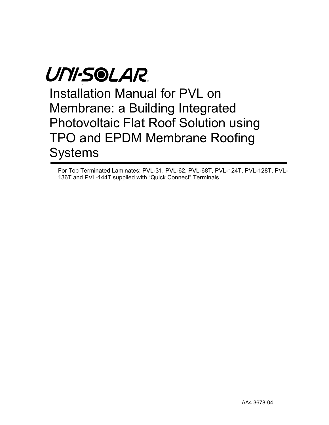# UNI-SOLAR.

Installation Manual for PVL on Membrane: a Building Integrated Photovoltaic Flat Roof Solution using TPO and EPDM Membrane Roofing **Systems** 

For Top Terminated Laminates: PVL-31, PVL-62, PVL-68T, PVL-124T, PVL-128T, PVL-136T and PVL-144T supplied with "Quick Connect" Terminals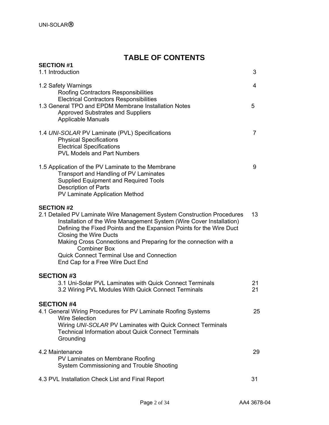# **TABLE OF CONTENTS**

| <b>SECTION #1</b>                                                                                                                                                                                                                                                                                                                                                                                                                                                |                |
|------------------------------------------------------------------------------------------------------------------------------------------------------------------------------------------------------------------------------------------------------------------------------------------------------------------------------------------------------------------------------------------------------------------------------------------------------------------|----------------|
| 1.1 Introduction                                                                                                                                                                                                                                                                                                                                                                                                                                                 | 3              |
| 1.2 Safety Warnings<br>Roofing Contractors Responsibilities<br><b>Electrical Contractors Responsibilities</b>                                                                                                                                                                                                                                                                                                                                                    | 4              |
| 1.3 General TPO and EPDM Membrane Installation Notes<br><b>Approved Substrates and Suppliers</b><br><b>Applicable Manuals</b>                                                                                                                                                                                                                                                                                                                                    | 5              |
| 1.4 UNI-SOLAR PV Laminate (PVL) Specifications<br><b>Physical Specifications</b><br><b>Electrical Specifications</b><br><b>PVL Models and Part Numbers</b>                                                                                                                                                                                                                                                                                                       | $\overline{7}$ |
| 1.5 Application of the PV Laminate to the Membrane<br>Transport and Handling of PV Laminates<br><b>Supplied Equipment and Required Tools</b><br><b>Description of Parts</b><br>PV Laminate Application Method                                                                                                                                                                                                                                                    | 9              |
| <b>SECTION #2</b><br>2.1 Detailed PV Laminate Wire Management System Construction Procedures<br>Installation of the Wire Management System (Wire Cover Installation)<br>Defining the Fixed Points and the Expansion Points for the Wire Duct<br><b>Closing the Wire Ducts</b><br>Making Cross Connections and Preparing for the connection with a<br><b>Combiner Box</b><br><b>Quick Connect Terminal Use and Connection</b><br>End Cap for a Free Wire Duct End | 13             |
| <b>SECTION #3</b><br>3.1 Uni-Solar PVL Laminates with Quick Connect Terminals<br>3.2 Wiring PVL Modules With Quick Connect Terminals                                                                                                                                                                                                                                                                                                                             | 21<br>21       |
| <b>SECTION #4</b><br>4.1 General Wiring Procedures for PV Laminate Roofing Systems<br><b>Wire Selection</b><br>Wiring UNI-SOLAR PV Laminates with Quick Connect Terminals<br><b>Technical Information about Quick Connect Terminals</b><br>Grounding                                                                                                                                                                                                             | 25             |
| 4.2 Maintenance<br>PV Laminates on Membrane Roofing<br>System Commissioning and Trouble Shooting                                                                                                                                                                                                                                                                                                                                                                 | 29             |
| 4.3 PVL Installation Check List and Final Report                                                                                                                                                                                                                                                                                                                                                                                                                 | 31             |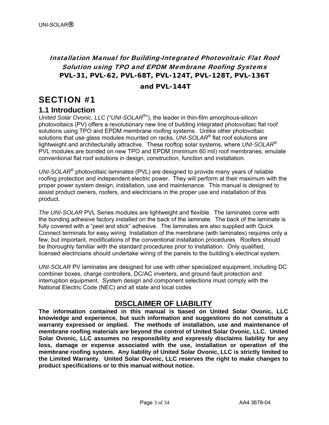## Installation Manual for Building-Integrated Photovoltaic Flat Roof Solution using TPO and EPDM Membrane Roofing Systems **PVL-31, PVL-62, PVL-68T, PVL-124T, PVL-128T, PVL-136T**

## **and PVL-144T**

# SECTION #1

## **1.1 Introduction**

*United Solar Ovonic, LLC ("UNI-SOLAR*®"), the leader in thin-film amorphous-silicon photovoltaics (PV) offers a revolutionary new line of building integrated photovoltaic flat roof solutions using TPO and EPDM membrane roofing systems. Unlike other photovoltaic solutions that use glass modules mounted on racks, *UNI-SOLAR*® flat roof solutions are lightweight and architecturally attractive. These rooftop solar systems, where *UNI-SOLAR*® PVL modules are bonded on new TPO and EPDM (minimum 60 mil) roof membranes, emulate conventional flat roof solutions in design, construction, function and installation.

*UNI-SOLAR*® photovoltaic laminates (PVL) are designed to provide many years of reliable roofing protection and independent electric power. They will perform at their maximum with the proper power system design, installation, use and maintenance. This manual is designed to assist product owners, roofers, and electricians in the proper use and installation of this product.

*The UNI-SOLAR* PVL Series modules are lightweight and flexible. The laminates come with the bonding adhesive factory installed on the back of the laminate. The back of the laminate is fully covered with a "peel and stick" adhesive. The laminates are also supplied with Quick Connect terminals for easy wiring Installation of the membrane (with laminates) requires only a few, but important, modifications of the conventional installation procedures Roofers should be thoroughly familiar with the standard procedures prior to installation. Only qualified, licensed electricians should undertake wiring of the panels to the building's electrical system.

*UNI-SOLAR* PV laminates are designed for use with other specialized equipment, including DC combiner boxes, charge controllers, DC/AC inverters, and ground fault protection and interruption equipment. System design and component selections must comply with the National Electric Code (NEC) and all state and local codes

## **DISCLAIMER OF LIABILITY**

**The information contained in this manual is based on United Solar Ovonic, LLC knowledge and experience, but such information and suggestions do not constitute a warranty expressed or implied. The methods of installation, use and maintenance of membrane roofing materials are beyond the control of United Solar Ovonic, LLC. United Solar Ovonic, LLC assumes no responsibility and expressly disclaims liability for any loss, damage or expense associated with the use, installation or operation of the membrane roofing system. Any liability of United Solar Ovonic, LLC is strictly limited to the Limited Warranty. United Solar Ovonic, LLC reserves the right to make changes to product specifications or to this manual without notice.**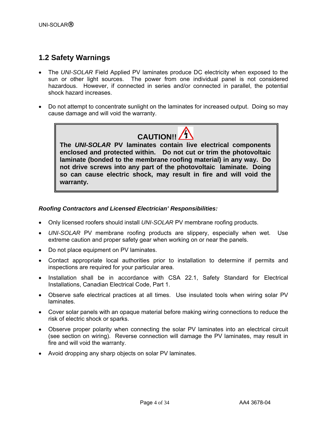## **1.2 Safety Warnings**

- The *UNI-SOLAR* Field Applied PV laminates produce DC electricity when exposed to the sun or other light sources. The power from one individual panel is not considered hazardous. However, if connected in series and/or connected in parallel, the potential shock hazard increases.
- Do not attempt to concentrate sunlight on the laminates for increased output. Doing so may cause damage and will void the warranty.



## *Roofing Contractors and Licensed Electrician' Responsibilities:*

- Only licensed roofers should install *UNI-SOLAR* PV membrane roofing products.
- *UNI-SOLAR* PV membrane roofing products are slippery, especially when wet. Use extreme caution and proper safety gear when working on or near the panels.
- Do not place equipment on PV laminates.
- Contact appropriate local authorities prior to installation to determine if permits and inspections are required for your particular area.
- Installation shall be in accordance with CSA 22.1, Safety Standard for Electrical Installations, Canadian Electrical Code, Part 1.
- Observe safe electrical practices at all times. Use insulated tools when wiring solar PV laminates.
- Cover solar panels with an opaque material before making wiring connections to reduce the risk of electric shock or sparks.
- Observe proper polarity when connecting the solar PV laminates into an electrical circuit (see section on wiring). Reverse connection will damage the PV laminates, may result in fire and will void the warranty.
- Avoid dropping any sharp objects on solar PV laminates.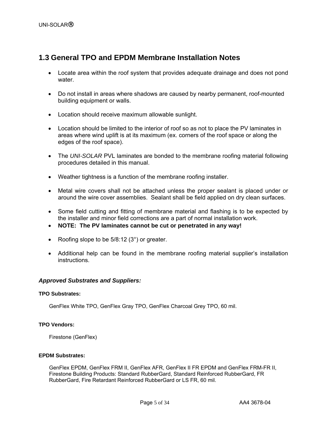## **1.3 General TPO and EPDM Membrane Installation Notes**

- Locate area within the roof system that provides adequate drainage and does not pond water
- Do not install in areas where shadows are caused by nearby permanent, roof-mounted building equipment or walls.
- Location should receive maximum allowable sunlight.
- Location should be limited to the interior of roof so as not to place the PV laminates in areas where wind uplift is at its maximum (ex. corners of the roof space or along the edges of the roof space).
- The *UNI-SOLAR* PVL laminates are bonded to the membrane roofing material following procedures detailed in this manual.
- Weather tightness is a function of the membrane roofing installer.
- Metal wire covers shall not be attached unless the proper sealant is placed under or around the wire cover assemblies. Sealant shall be field applied on dry clean surfaces.
- Some field cutting and fitting of membrane material and flashing is to be expected by the installer and minor field corrections are a part of normal installation work.
- **NOTE: The PV laminates cannot be cut or penetrated in any way!**
- Roofing slope to be 5/8:12 (3°) or greater.
- Additional help can be found in the membrane roofing material supplier's installation instructions.

### *Approved Substrates and Suppliers:*

#### **TPO Substrates:**

GenFlex White TPO, GenFlex Gray TPO, GenFlex Charcoal Grey TPO, 60 mil.

#### **TPO Vendors:**

Firestone (GenFlex)

#### **EPDM Substrates:**

 GenFlex EPDM, GenFlex FRM II, GenFlex AFR, GenFlex II FR EPDM and GenFlex FRM-FR II, Firestone Building Products: Standard RubberGard, Standard Reinforced RubberGard, FR RubberGard, Fire Retardant Reinforced RubberGard or LS FR, 60 mil.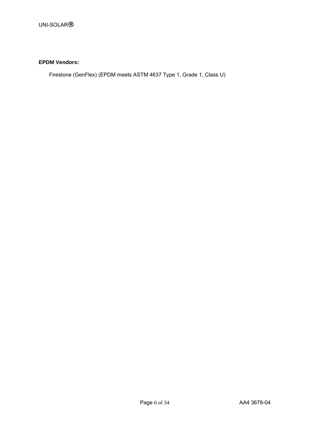## **EPDM Vendors:**

Firestone (GenFlex) (EPDM meets ASTM 4637 Type 1, Grade 1, Class U)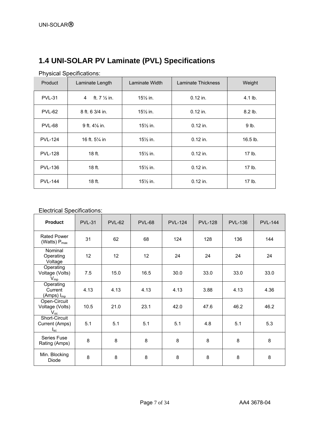| <b>Physical Specifications:</b> |                                          |                     |                    |            |  |  |
|---------------------------------|------------------------------------------|---------------------|--------------------|------------|--|--|
| Product                         | Laminate Length                          | Laminate Width      | Laminate Thickness | Weight     |  |  |
| <b>PVL-31</b>                   | ft. $7\frac{1}{2}$ in.<br>$\overline{4}$ | $15\frac{1}{2}$ in. | $0.12$ in.         | $4.1$ lb.  |  |  |
| <b>PVL-62</b>                   | 8 ft. 6 3/4 in.                          | $15\frac{1}{2}$ in. | $0.12$ in.         | $8.2$ lb.  |  |  |
| <b>PVL-68</b>                   | 9 ft. $4\frac{1}{8}$ in.                 | $15\frac{1}{2}$ in. | $0.12$ in.         | $9$ lb.    |  |  |
| <b>PVL-124</b>                  | 16 ft. 51/4 in                           | $15\frac{1}{2}$ in. | $0.12$ in.         | $16.5$ lb. |  |  |
| <b>PVL-128</b>                  | 18 ft.                                   | $15\%$ in.          | $0.12$ in.         | $17$ lb.   |  |  |
| <b>PVL-136</b>                  | $18$ ft.                                 | $15\frac{1}{2}$ in. | $0.12$ in.         | $17$ lb.   |  |  |
| <b>PVL-144</b>                  | 18 ft.                                   | $15\frac{1}{2}$ in. | $0.12$ in.         | $17$ lb.   |  |  |

# **1.4 UNI-SOLAR PV Laminate (PVL) Specifications**

Electrical Specifications:

| <b>Product</b>                                  | <b>PVL-31</b>   | <b>PVL-62</b> | <b>PVL-68</b> | <b>PVL-124</b> | <b>PVL-128</b> | <b>PVL-136</b> | <b>PVL-144</b> |
|-------------------------------------------------|-----------------|---------------|---------------|----------------|----------------|----------------|----------------|
|                                                 |                 |               |               |                |                |                |                |
| <b>Rated Power</b><br>(Watts) $P_{\text{max}}$  | 31              | 62            | 68            | 124            | 128            | 136            | 144            |
| Nominal<br>Operating<br>Voltage                 | 12 <sup>2</sup> | 12            | 12            | 24             | 24             | 24             | 24             |
| Operating<br>Voltage (Volts)<br>$V_{mp}$        | 7.5             | 15.0          | 16.5          | 30.0           | 33.0           | 33.0           | 33.0           |
| Operating<br>Current<br>$(Amps)$ $I_{mp}$       | 4.13            | 4.13          | 4.13          | 4.13           | 3.88           | 4.13           | 4.36           |
| Open-Circuit<br>Voltage (Volts)<br>$V_{oc}$     | 10.5            | 21.0          | 23.1          | 42.0           | 47.6           | 46.2           | 46.2           |
| Short-Circuit<br>Current (Amps)<br>$I_{\rm sc}$ | 5.1             | 5.1           | 5.1           | 5.1            | 4.8            | 5.1            | 5.3            |
| Series Fuse<br>Rating (Amps)                    | 8               | 8             | 8             | 8              | 8              | 8              | 8              |
| Min. Blocking<br>Diode                          | 8               | 8             | 8             | 8              | 8              | 8              | 8              |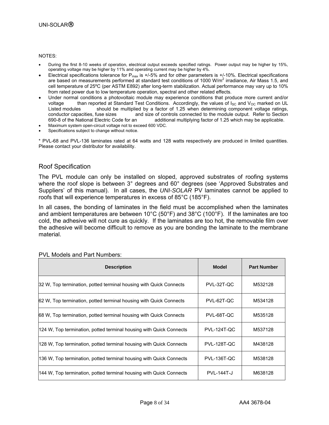NOTES:

- During the first 8-10 weeks of operation, electrical output exceeds specified ratings. Power output may be higher by 15%, operating voltage may be higher by 11% and operating current may be higher by 4%.
- Electrical specifications tolerance for  $P_{max}$  is  $+/-5%$  and for other parameters is  $+/-10%$ . Electrical specifications are based on measurements performed at standard test conditions of 1000 W/m<sup>2</sup> irradiance, Air Mass 1.5, and cell temperature of 25ºC (per ASTM E892) after long-term stabilization. Actual performance may vary up to 10% from rated power due to low temperature operation, spectral and other related effects.
- Under normal conditions a photovoltaic module may experience conditions that produce more current and/or voltage than reported at Standard Test Conditions. Accordingly, the values of  $I_{SC}$  and  $V_{OC}$  marked on UL Listed modules should be multiplied by a factor of 1.25 when determining component voltage ratings, conductor capacities, fuse sizes and size of controls connected to the module output. Refer to Section 690-8 of the National Electric Code for an additional multiplying factor of 1.25 which may be applicable.
- Maximum system open-circuit voltage not to exceed 600 VDC.
- Specifications subject to change without notice.

\* PVL-68 and PVL-136 laminates rated at 64 watts and 128 watts respectively are produced in limited quantities. Please contact your distributor for availability.

### Roof Specification

The PVL module can only be installed on sloped, approved substrates of roofing systems where the roof slope is between 3° degrees and 60° degrees (see 'Approved Substrates and Suppliers' of this manual). In all cases, the *UNI-SOLAR* PV laminates cannot be applied to roofs that will experience temperatures in excess of 85°C (185°F).

In all cases, the bonding of laminates in the field must be accomplished when the laminates and ambient temperatures are between 10°C (50°F) and 38°C (100°F). If the laminates are too cold, the adhesive will not cure as quickly. If the laminates are too hot, the removable film over the adhesive will become difficult to remove as you are bonding the laminate to the membrane material.

| <b>Description</b>                                                  | <b>Model</b>       | <b>Part Number</b> |
|---------------------------------------------------------------------|--------------------|--------------------|
| 32 W, Top termination, potted terminal housing with Quick Connects  | PVL-32T-QC         | M532128            |
| 62 W, Top termination, potted terminal housing with Quick Connects  | PVL-62T-QC         | M534128            |
| 68 W, Top termination, potted terminal housing with Quick Connects  | PVL-68T-QC         | M535128            |
| 124 W. Top termination, potted terminal housing with Quick Connects | <b>PVL-124T-QC</b> | M537128            |
| 128 W. Top termination, potted terminal housing with Quick Connects | <b>PVL-128T-QC</b> | M438128            |
| 136 W. Top termination, potted terminal housing with Quick Connects | <b>PVL-136T-QC</b> | M538128            |
| 144 W, Top termination, potted terminal housing with Quick Connects | <b>PVL-144T-J</b>  | M638128            |

#### PVL Models and Part Numbers: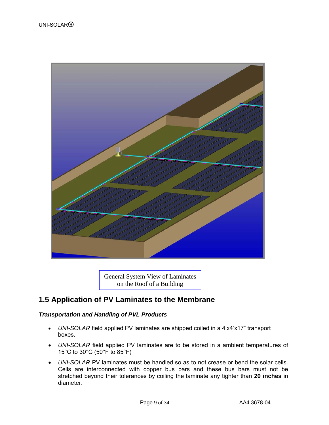

General System View of Laminates on the Roof of a Building

## **1.5 Application of PV Laminates to the Membrane**

## *Transportation and Handling of PVL Products*

- *UNI-SOLAR* field applied PV laminates are shipped coiled in a 4'x4'x17" transport boxes.
- *UNI-SOLAR* field applied PV laminates are to be stored in a ambient temperatures of 15°C to 30°C (50°F to 85°F)
- *UNI-SOLAR* PV laminates must be handled so as to not crease or bend the solar cells. Cells are interconnected with copper bus bars and these bus bars must not be stretched beyond their tolerances by coiling the laminate any tighter than **20 inches** in diameter.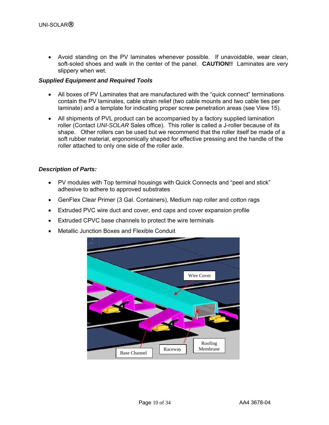Avoid standing on the PV laminates whenever possible. If unavoidable, wear clean, soft-soled shoes and walk in the center of the panel. **CAUTION!!** Laminates are very slippery when wet.

### *Supplied Equipment and Required Tools*

- All boxes of PV Laminates that are manufactured with the "quick connect" terminations contain the PV laminates, cable strain relief (two cable mounts and two cable ties per laminate) and a template for indicating proper screw penetration areas (see View 15).
- All shipments of PVL product can be accompanied by a factory supplied lamination roller (Contact *UNI-SOLAR* Sales office). This roller is called a J-roller because of its shape. Other rollers can be used but we recommend that the roller itself be made of a soft rubber material, ergonomically shaped for effective pressing and the handle of the roller attached to only one side of the roller axle.

## *Description of Parts:*

- PV modules with Top terminal housings with Quick Connects and "peel and stick" adhesive to adhere to approved substrates
- GenFlex Clear Primer (3 Gal. Containers), Medium nap roller and cotton rags
- Extruded PVC wire duct and cover, end caps and cover expansion profile
- Extruded CPVC base channels to protect the wire terminals
- Metallic Junction Boxes and Flexible Conduit

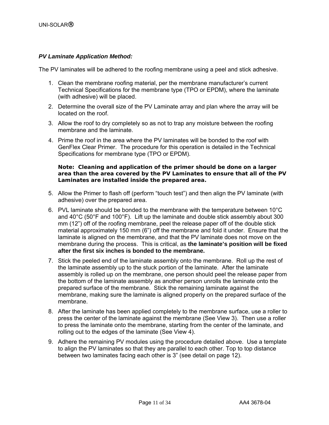## *PV Laminate Application Method:*

The PV laminates will be adhered to the roofing membrane using a peel and stick adhesive.

- 1. Clean the membrane roofing material, per the membrane manufacturer's current Technical Specifications for the membrane type (TPO or EPDM), where the laminate (with adhesive) will be placed.
- 2. Determine the overall size of the PV Laminate array and plan where the array will be located on the roof.
- 3. Allow the roof to dry completely so as not to trap any moisture between the roofing membrane and the laminate.
- 4. Prime the roof in the area where the PV laminates will be bonded to the roof with GenFlex Clear Primer. The procedure for this operation is detailed in the Technical Specifications for membrane type (TPO or EPDM).

#### **Note: Cleaning and application of the primer should be done on a larger area than the area covered by the PV Laminates to ensure that all of the PV Laminates are installed inside the prepared area.**

- 5. Allow the Primer to flash off (perform "touch test") and then align the PV laminate (with adhesive) over the prepared area.
- 6. PVL laminate should be bonded to the membrane with the temperature between 10°C and 40°C (50°F and 100°F). Lift up the laminate and double stick assembly about 300 mm (12") off of the roofing membrane, peel the release paper off of the double stick material approximately 150 mm (6") off the membrane and fold it under. Ensure that the laminate is aligned on the membrane, and that the PV laminate does not move on the membrane during the process. This is critical, as **the laminate's position will be fixed after the first six inches is bonded to the membrane.**
- 7. Stick the peeled end of the laminate assembly onto the membrane. Roll up the rest of the laminate assembly up to the stuck portion of the laminate. After the laminate assembly is rolled up on the membrane, one person should peel the release paper from the bottom of the laminate assembly as another person unrolls the laminate onto the prepared surface of the membrane. Stick the remaining laminate against the membrane, making sure the laminate is aligned properly on the prepared surface of the membrane.
- 8. After the laminate has been applied completely to the membrane surface, use a roller to press the center of the laminate against the membrane (See View 3). Then use a roller to press the laminate onto the membrane, starting from the center of the laminate, and rolling out to the edges of the laminate (See View 4).
- 9. Adhere the remaining PV modules using the procedure detailed above. Use a template to align the PV laminates so that they are parallel to each other. Top to top distance between two laminates facing each other is 3" (see detail on page 12).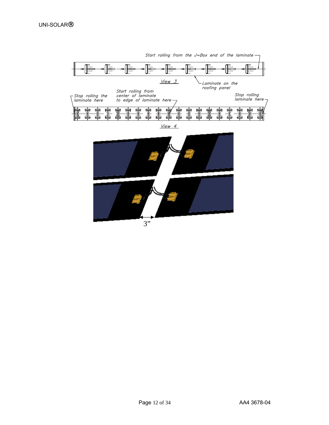



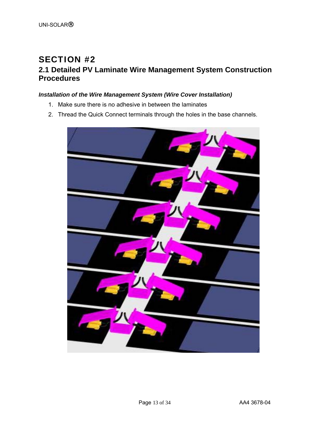# SECTION #2 **2.1 Detailed PV Laminate Wire Management System Construction Procedures**

## *Installation of the Wire Management System (Wire Cover Installation)*

- 1. Make sure there is no adhesive in between the laminates
- 2. Thread the Quick Connect terminals through the holes in the base channels.

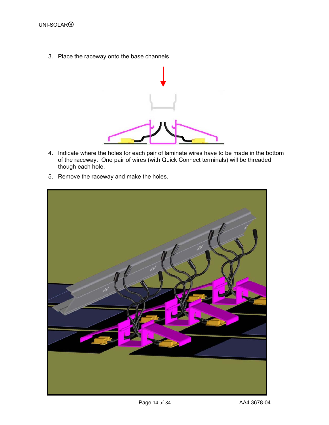3. Place the raceway onto the base channels



- 4. Indicate where the holes for each pair of laminate wires have to be made in the bottom of the raceway. One pair of wires (with Quick Connect terminals) will be threaded though each hole.
- 5. Remove the raceway and make the holes.

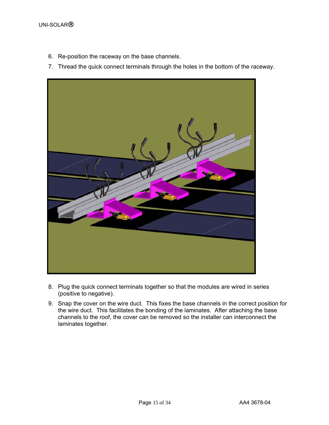- 6. Re-position the raceway on the base channels.
- 7. Thread the quick connect terminals through the holes in the bottom of the raceway.



- 8. Plug the quick connect terminals together so that the modules are wired in series (positive to negative).
- 9. Snap the cover on the wire duct. This fixes the base channels in the correct position for the wire duct. This facilitates the bonding of the laminates. After attaching the base channels to the roof, the cover can be removed so the installer can interconnect the laminates together.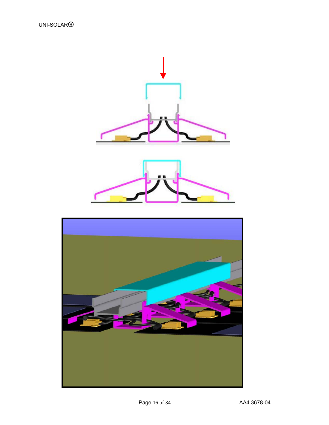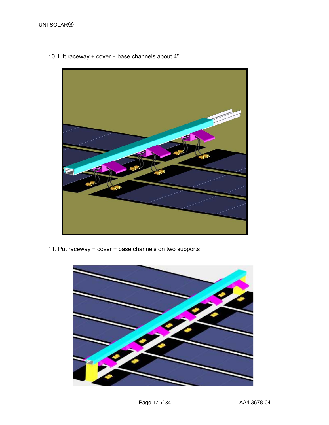- 
- 10. Lift raceway + cover + base channels about 4".

11. Put raceway + cover + base channels on two supports

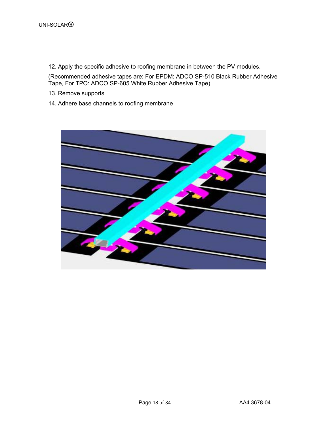12. Apply the specific adhesive to roofing membrane in between the PV modules.

(Recommended adhesive tapes are: For EPDM: ADCO SP-510 Black Rubber Adhesive Tape, For TPO: ADCO SP-605 White Rubber Adhesive Tape)

- 13. Remove supports
- 14. Adhere base channels to roofing membrane

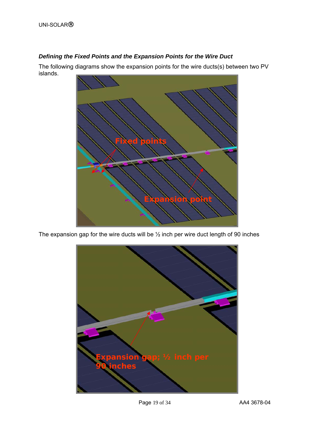## *Defining the Fixed Points and the Expansion Points for the Wire Duct*

The following diagrams show the expansion points for the wire ducts(s) between two PV islands.



The expansion gap for the wire ducts will be ½ inch per wire duct length of 90 inches



Page 19 of 34 AA4 3678-04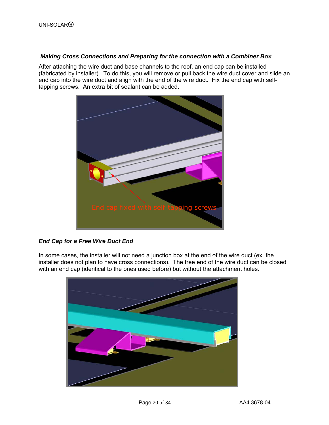## *Making Cross Connections and Preparing for the connection with a Combiner Box*

After attaching the wire duct and base channels to the roof, an end cap can be installed (fabricated by installer). To do this, you will remove or pull back the wire duct cover and slide an end cap into the wire duct and align with the end of the wire duct. Fix the end cap with selftapping screws. An extra bit of sealant can be added.



## *End Cap for a Free Wire Duct End*

In some cases, the installer will not need a junction box at the end of the wire duct (ex. the installer does not plan to have cross connections). The free end of the wire duct can be closed with an end cap (identical to the ones used before) but without the attachment holes.

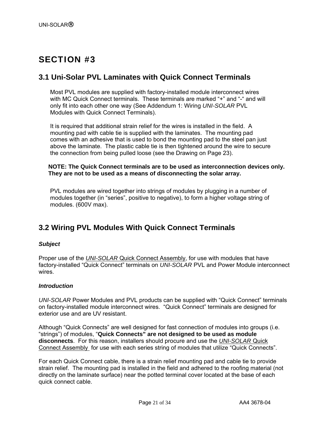# SECTION #3

## **3.1 Uni-Solar PVL Laminates with Quick Connect Terminals**

 Most PVL modules are supplied with factory-installed module interconnect wires with MC Quick Connect terminals. These terminals are marked "+" and "-" and will only fit into each other one way (See Addendum 1: Wiring *UNI-SOLAR* PVL Modules with Quick Connect Terminals).

 It is required that additional strain relief for the wires is installed in the field. A mounting pad with cable tie is supplied with the laminates. The mounting pad comes with an adhesive that is used to bond the mounting pad to the steel pan just above the laminate. The plastic cable tie is then tightened around the wire to secure the connection from being pulled loose (see the Drawing on Page 23).

## **NOTE: The Quick Connect terminals are to be used as interconnection devices only. They are not to be used as a means of disconnecting the solar array.**

 PVL modules are wired together into strings of modules by plugging in a number of modules together (in "series", positive to negative), to form a higher voltage string of modules. (600V max).

## **3.2 Wiring PVL Modules With Quick Connect Terminals**

## *Subject*

Proper use of the *UNI-SOLAR* Quick Connect Assembly, for use with modules that have factory-installed "Quick Connect" terminals on *UNI-SOLAR* PVL and Power Module interconnect wires.

### *Introduction*

*UNI-SOLAR* Power Modules and PVL products can be supplied with "Quick Connect" terminals on factory-installed module interconnect wires. "Quick Connect" terminals are designed for exterior use and are UV resistant.

Although "Quick Connects" are well designed for fast connection of modules into groups (i.e. "strings") of modules, "**Quick Connects" are not designed to be used as module disconnects**. For this reason, installers should procure and use the *UNI-SOLAR* Quick Connect Assembly for use with each series string of modules that utilize "Quick Connects".

For each Quick Connect cable, there is a strain relief mounting pad and cable tie to provide strain relief. The mounting pad is installed in the field and adhered to the roofing material (not directly on the laminate surface) near the potted terminal cover located at the base of each quick connect cable.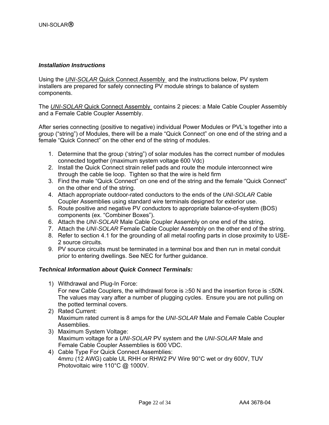## *Installation Instructions*

Using the *UNI-SOLAR* Quick Connect Assembly and the instructions below, PV system installers are prepared for safely connecting PV module strings to balance of system components.

The *UNI-SOLAR* Quick Connect Assembly contains 2 pieces: a Male Cable Coupler Assembly and a Female Cable Coupler Assembly.

After series connecting (positive to negative) individual Power Modules or PVL's together into a group ("string") of Modules, there will be a male "Quick Connect" on one end of the string and a female "Quick Connect" on the other end of the string of modules.

- 1. Determine that the group ('string") of solar modules has the correct number of modules connected together (maximum system voltage 600 Vdc)
- 2. Install the Quick Connect strain relief pads and route the module interconnect wire through the cable tie loop. Tighten so that the wire is held firm
- 3. Find the male "Quick Connect" on one end of the string and the female "Quick Connect" on the other end of the string.
- 4. Attach appropriate outdoor-rated conductors to the ends of the *UNI-SOLAR* Cable Coupler Assemblies using standard wire terminals designed for exterior use.
- 5. Route positive and negative PV conductors to appropriate balance-of-system (BOS) components (ex. "Combiner Boxes").
- 6. Attach the *UNI-SOLAR* Male Cable Coupler Assembly on one end of the string.
- 7. Attach the *UNI-SOLAR* Female Cable Coupler Assembly on the other end of the string.
- 8. Refer to section 4.1 for the grounding of all metal roofing parts in close proximity to USE-2 source circuits.
- 9. PV source circuits must be terminated in a terminal box and then run in metal conduit prior to entering dwellings. See NEC for further guidance.

### *Technical Information about Quick Connect Terminals:*

1) Withdrawal and Plug-In Force:

For new Cable Couplers, the withdrawal force is  $\geq 50$  N and the insertion force is  $\leq 50$ N. The values may vary after a number of plugging cycles. Ensure you are not pulling on the potted terminal covers.

- 2) Rated Current: Maximum rated current is 8 amps for the *UNI-SOLAR* Male and Female Cable Coupler Assemblies.
- 3) Maximum System Voltage: Maximum voltage for a *UNI-SOLAR* PV system and the *UNI-SOLAR* Male and Female Cable Coupler Assemblies is 600 VDC.
- 4) Cable Type For Quick Connect Assemblies: 4mm2 (12 AWG) cable UL RHH or RHW2 PV Wire 90°C wet or dry 600V, TUV Photovoltaic wire 110°C @ 1000V.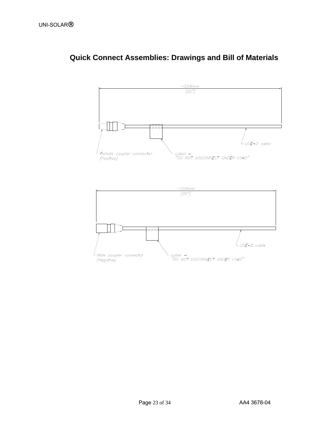

# **Quick Connect Assemblies: Drawings and Bill of Materials**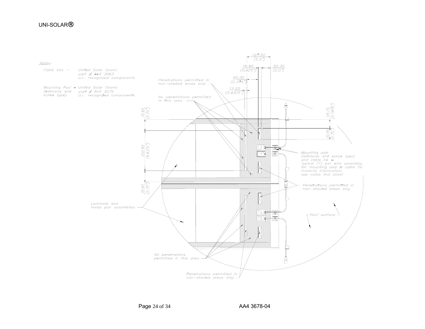## UNI-SOLAR<sup>®</sup>

Notes:

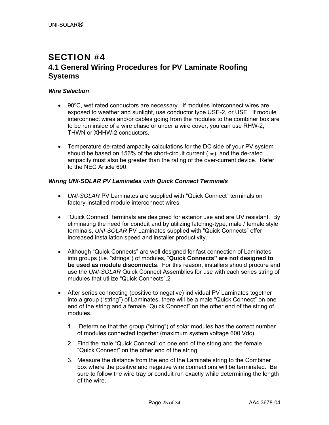# SECTION #4 **4.1 General Wiring Procedures for PV Laminate Roofing Systems**

## *Wire Selection*

- 90ºC, wet rated conductors are necessary. If modules interconnect wires are exposed to weather and sunlight, use conductor type USE-2, or USE. If module interconnect wires and/or cables going from the modules to the combiner box are to be run inside of a wire chase or under a wire cover, you can use RHW-2, THWN or XHHW-2 conductors.
- Temperature de-rated ampacity calculations for the DC side of your PV system should be based on 156% of the short-circuit current (Isc), and the de-rated ampacity must also be greater than the rating of the over-current device. Refer to the NEC Article 690.

### *Wiring UNI-SOLAR PV Laminates with Quick Connect Terminals*

- *UNI-SOLAR* PV Laminates are supplied with "Quick Connect" terminals on factory-installed module interconnect wires.
- "Quick Connect" terminals are designed for exterior use and are UV resistant. By eliminating the need for conduit and by utilizing latching-type, male / female style terminals, *UNI-SOLAR* PV Laminates supplied with "Quick Connects" offer increased installation speed and installer productivity.
- Although "Quick Connects" are well designed for fast connection of Laminates into groups (i.e. "strings") of modules, "**Quick Connects" are not designed to be used as module disconnects**. For this reason, installers should procure and use the *UNI-SOLAR* Quick Connect Assemblies for use with each series string of mudules that utilize "Quick Connects".2
- After series connecting (positive to negative) individual PV Laminates together into a group ("string") of Laminates, there will be a male "Quick Connect" on one end of the string and a female "Quick Connect" on the other end of the string of modules.
	- 1. Determine that the group ("string") of solar modules has the correct number of modules connected together (maximum system voltage 600 Vdc).
	- 2. Find the male "Quick Connect" on one end of the string and the female "Quick Connect" on the other end of the string.
	- 3. Measure the distance from the end of the Laminate string to the Combiner box where the positive and negative wire connections will be terminated. Be sure to follow the wire tray or conduit run exactly while determining the length of the wire.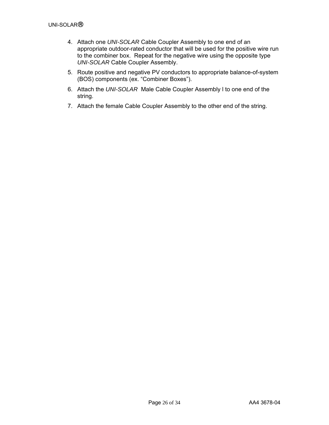- 4. Attach one *UNI-SOLAR* Cable Coupler Assembly to one end of an appropriate outdoor-rated conductor that will be used for the positive wire run to the combiner box. Repeat for the negative wire using the opposite type *UNI-SOLAR* Cable Coupler Assembly.
- 5. Route positive and negative PV conductors to appropriate balance-of-system (BOS) components (ex. "Combiner Boxes").
- 6. Attach the *UNI-SOLAR* Male Cable Coupler Assembly l to one end of the string.
- 7. Attach the female Cable Coupler Assembly to the other end of the string.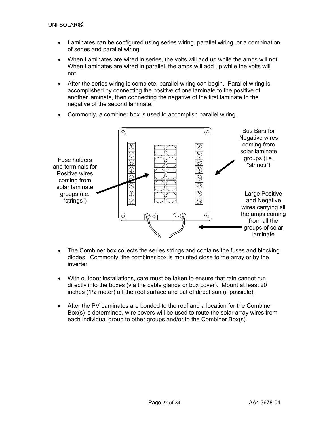- Laminates can be configured using series wiring, parallel wiring, or a combination of series and parallel wiring.
- When Laminates are wired in series, the volts will add up while the amps will not. When Laminates are wired in parallel, the amps will add up while the volts will not.
- After the series wiring is complete, parallel wiring can begin. Parallel wiring is accomplished by connecting the positive of one laminate to the positive of another laminate, then connecting the negative of the first laminate to the negative of the second laminate.



Commonly, a combiner box is used to accomplish parallel wiring.

- The Combiner box collects the series strings and contains the fuses and blocking diodes. Commonly, the combiner box is mounted close to the array or by the inverter.
- With outdoor installations, care must be taken to ensure that rain cannot run directly into the boxes (via the cable glands or box cover). Mount at least 20 inches (1/2 meter) off the roof surface and out of direct sun (if possible).
- After the PV Laminates are bonded to the roof and a location for the Combiner Box(s) is determined, wire covers will be used to route the solar array wires from each individual group to other groups and/or to the Combiner Box(s).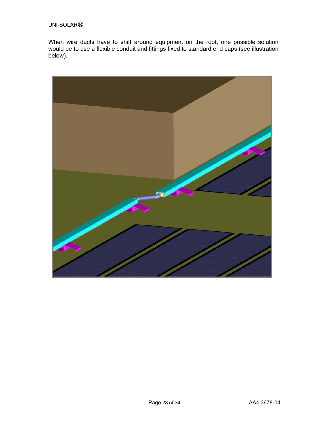When wire ducts have to shift around equipment on the roof, one possible solution would be to use a flexible conduit and fittings fixed to standard end caps (see illustration below).

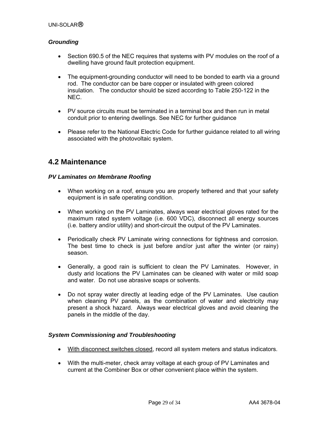## *Grounding*

- Section 690.5 of the NEC requires that systems with PV modules on the roof of a dwelling have ground fault protection equipment.
- The equipment-grounding conductor will need to be bonded to earth via a ground rod. The conductor can be bare copper or insulated with green colored insulation. The conductor should be sized according to Table 250-122 in the NEC.
- PV source circuits must be terminated in a terminal box and then run in metal conduit prior to entering dwellings. See NEC for further guidance
- Please refer to the National Electric Code for further guidance related to all wiring associated with the photovoltaic system.

## **4.2 Maintenance**

## *PV Laminates on Membrane Roofing*

- When working on a roof, ensure you are properly tethered and that your safety equipment is in safe operating condition.
- When working on the PV Laminates, always wear electrical gloves rated for the maximum rated system voltage (i.e. 600 VDC), disconnect all energy sources (i.e. battery and/or utility) and short-circuit the output of the PV Laminates.
- Periodically check PV Laminate wiring connections for tightness and corrosion. The best time to check is just before and/or just after the winter (or rainy) season.
- Generally, a good rain is sufficient to clean the PV Laminates. However, in dusty arid locations the PV Laminates can be cleaned with water or mild soap and water. Do not use abrasive soaps or solvents.
- Do not spray water directly at leading edge of the PV Laminates. Use caution when cleaning PV panels, as the combination of water and electricity may present a shock hazard. Always wear electrical gloves and avoid cleaning the panels in the middle of the day.

### *System Commissioning and Troubleshooting*

- With disconnect switches closed, record all system meters and status indicators.
- With the multi-meter, check array voltage at each group of PV Laminates and current at the Combiner Box or other convenient place within the system.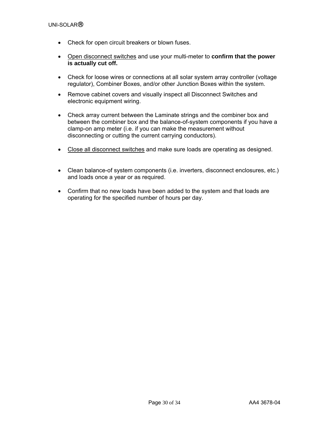- Check for open circuit breakers or blown fuses.
- Open disconnect switches and use your multi-meter to **confirm that the power is actually cut off.**
- Check for loose wires or connections at all solar system array controller (voltage regulator), Combiner Boxes, and/or other Junction Boxes within the system.
- Remove cabinet covers and visually inspect all Disconnect Switches and electronic equipment wiring.
- Check array current between the Laminate strings and the combiner box and between the combiner box and the balance-of-system components if you have a clamp-on amp meter (i.e. if you can make the measurement without disconnecting or cutting the current carrying conductors).
- Close all disconnect switches and make sure loads are operating as designed.
- Clean balance-of system components (i.e. inverters, disconnect enclosures, etc.) and loads once a year or as required.
- Confirm that no new loads have been added to the system and that loads are operating for the specified number of hours per day.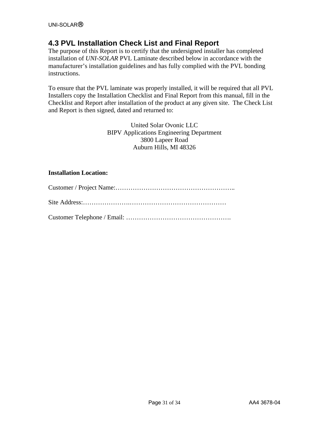## **4.3 PVL Installation Check List and Final Report**

The purpose of this Report is to certify that the undersigned installer has completed installation of *UNI-SOLAR* PVL Laminate described below in accordance with the manufacturer's installation guidelines and has fully complied with the PVL bonding instructions.

To ensure that the PVL laminate was properly installed, it will be required that all PVL Installers copy the Installation Checklist and Final Report from this manual, fill in the Checklist and Report after installation of the product at any given site. The Check List and Report is then signed, dated and returned to:

> United Solar Ovonic LLC BIPV Applications Engineering Department 3800 Lapeer Road Auburn Hills, MI 48326

## **Installation Location:**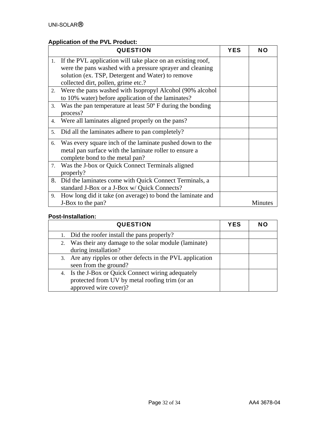## **Application of the PVL Product:**

|    | <b>QUESTION</b>                                                    | <b>YES</b> | <b>NO</b>      |
|----|--------------------------------------------------------------------|------------|----------------|
| 1. | If the PVL application will take place on an existing roof,        |            |                |
|    | were the pans washed with a pressure sprayer and cleaning          |            |                |
|    | solution (ex. TSP, Detergent and Water) to remove                  |            |                |
|    | collected dirt, pollen, grime etc.?                                |            |                |
| 2. | Were the pans washed with Isopropyl Alcohol (90% alcohol           |            |                |
|    | to 10% water) before application of the laminates?                 |            |                |
| 3. | Was the pan temperature at least $50^{\circ}$ F during the bonding |            |                |
|    | process?                                                           |            |                |
| 4. | Were all laminates aligned properly on the pans?                   |            |                |
| 5. | Did all the laminates adhere to pan completely?                    |            |                |
| 6. | Was every square inch of the laminate pushed down to the           |            |                |
|    | metal pan surface with the laminate roller to ensure a             |            |                |
|    | complete bond to the metal pan?                                    |            |                |
| 7. | Was the J-box or Quick Connect Terminals aligned                   |            |                |
|    | properly?                                                          |            |                |
| 8. | Did the laminates come with Quick Connect Terminals, a             |            |                |
|    | standard J-Box or a J-Box w/ Quick Connects?                       |            |                |
| 9. | How long did it take (on average) to bond the laminate and         |            |                |
|    | J-Box to the pan?                                                  |            | <b>Minutes</b> |

## **Post-Installation:**

| <b>QUESTION</b>                                                                                                               | YES | <b>NO</b> |
|-------------------------------------------------------------------------------------------------------------------------------|-----|-----------|
| 1. Did the roofer install the pans properly?                                                                                  |     |           |
| Was their any damage to the solar module (laminate)<br>2.<br>during installation?                                             |     |           |
| 3. Are any ripples or other defects in the PVL application<br>seen from the ground?                                           |     |           |
| 4. Is the J-Box or Quick Connect wiring adequately<br>protected from UV by metal roofing trim (or an<br>approved wire cover)? |     |           |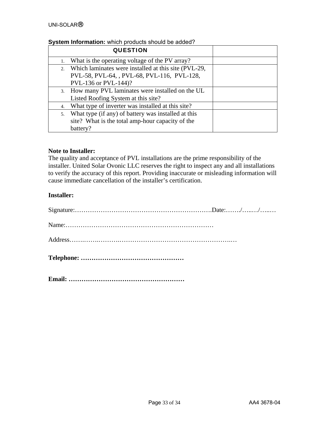## **System Information:** which products should be added?

|    | <b>QUESTION</b>                                         |  |
|----|---------------------------------------------------------|--|
|    | What is the operating voltage of the PV array?          |  |
|    | 2. Which laminates were installed at this site (PVL-29, |  |
|    | PVL-58, PVL-64, , PVL-68, PVL-116, PVL-128,             |  |
|    | PVL-136 or PVL-144)?                                    |  |
|    | 3. How many PVL laminates were installed on the UL      |  |
|    | Listed Roofing System at this site?                     |  |
| 4. | What type of inverter was installed at this site?       |  |
|    | 5. What type (if any) of battery was installed at this  |  |
|    | site? What is the total amp-hour capacity of the        |  |
|    | battery?                                                |  |

## **Note to Installer:**

The quality and acceptance of PVL installations are the prime responsibility of the installer. United Solar Ovonic LLC reserves the right to inspect any and all installations to verify the accuracy of this report. Providing inaccurate or misleading information will cause immediate cancellation of the installer's certification.

## **Installer:**

**Email: ………………………………………………**